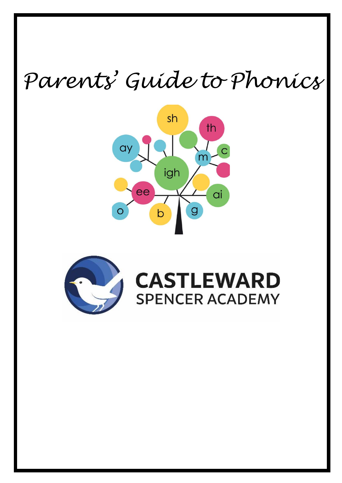# *Parents' Guide to Phonics*





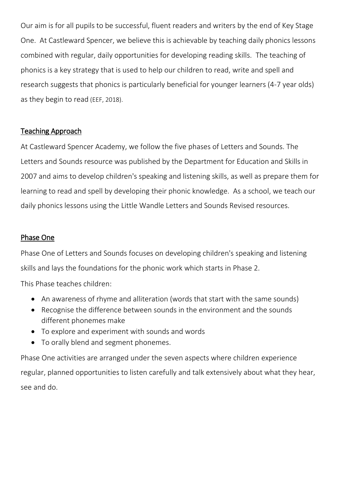Our aim is for all pupils to be successful, fluent readers and writers by the end of Key Stage One. At Castleward Spencer, we believe this is achievable by teaching daily phonics lessons combined with regular, daily opportunities for developing reading skills. The teaching of phonics is a key strategy that is used to help our children to read, write and spell and research suggests that phonics is particularly beneficial for younger learners (4-7 year olds) as they begin to read (EEF, 2018).

#### Teaching Approach

At Castleward Spencer Academy, we follow the five phases of Letters and Sounds. The Letters and Sounds resource was published by the Department for Education and Skills in 2007 and aims to develop children's speaking and listening skills, as well as prepare them for learning to read and spell by developing their phonic knowledge. As a school, we teach our daily phonics lessons using the Little Wandle Letters and Sounds Revised resources.

#### Phase One

Phase One of Letters and Sounds focuses on developing children's speaking and listening skills and lays the foundations for the phonic work which starts in Phase 2.

This Phase teaches children:

- An awareness of rhyme and alliteration (words that start with the same sounds)
- Recognise the difference between sounds in the environment and the sounds different phonemes make
- To explore and experiment with sounds and words
- To orally blend and segment phonemes.

Phase One activities are arranged under the seven aspects where children experience regular, planned opportunities to listen carefully and talk extensively about what they hear, see and do.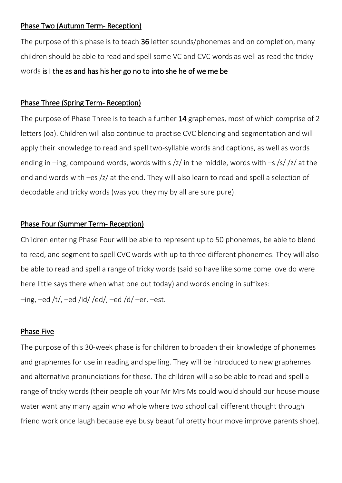#### Phase Two (Autumn Term- Reception)

The purpose of this phase is to teach 36 letter sounds/phonemes and on completion, many children should be able to read and spell some VC and CVC words as well as read the tricky words is I the as and has his her go no to into she he of we me be

## Phase Three (Spring Term- Reception)

The purpose of Phase Three is to teach a further 14 graphemes, most of which comprise of 2 letters (oa). Children will also continue to practise CVC blending and segmentation and will apply their knowledge to read and spell two-syllable words and captions, as well as words ending in –ing, compound words, words with s  $\frac{z}{r}$  in the middle, words with –s  $\frac{s}{z}$  /z/ at the end and words with –es /z/ at the end. They will also learn to read and spell a selection of decodable and tricky words (was you they my by all are sure pure).

## Phase Four (Summer Term- Reception)

Children entering Phase Four will be able to represent up to 50 phonemes, be able to blend to read, and segment to spell CVC words with up to three different phonemes. They will also be able to read and spell a range of tricky words (said so have like some come love do were here little says there when what one out today) and words ending in suffixes:  $-$ ing,  $-$ ed /t/,  $-$ ed /id/ /ed/,  $-$ ed /d/ $-$ er,  $-$ est.

## Phase Five

The purpose of this 30-week phase is for children to broaden their knowledge of phonemes and graphemes for use in reading and spelling. They will be introduced to new graphemes and alternative pronunciations for these. The children will also be able to read and spell a range of tricky words (their people oh your Mr Mrs Ms could would should our house mouse water want any many again who whole where two school call different thought through friend work once laugh because eye busy beautiful pretty hour move improve parents shoe).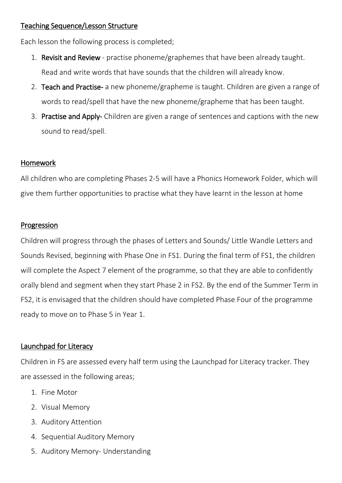## Teaching Sequence/Lesson Structure

Each lesson the following process is completed;

- 1. Revisit and Review practise phoneme/graphemes that have been already taught. Read and write words that have sounds that the children will already know.
- 2. Teach and Practise- a new phoneme/grapheme is taught. Children are given a range of words to read/spell that have the new phoneme/grapheme that has been taught.
- 3. Practise and Apply- Children are given a range of sentences and captions with the new sound to read/spell.

#### Homework

All children who are completing Phases 2-5 will have a Phonics Homework Folder, which will give them further opportunities to practise what they have learnt in the lesson at home

#### Progression

Children will progress through the phases of Letters and Sounds/ Little Wandle Letters and Sounds Revised, beginning with Phase One in FS1. During the final term of FS1, the children will complete the Aspect 7 element of the programme, so that they are able to confidently orally blend and segment when they start Phase 2 in FS2. By the end of the Summer Term in FS2, it is envisaged that the children should have completed Phase Four of the programme ready to move on to Phase 5 in Year 1.

## Launchpad for Literacy

Children in FS are assessed every half term using the Launchpad for Literacy tracker. They are assessed in the following areas;

- 1. Fine Motor
- 2. Visual Memory
- 3. Auditory Attention
- 4. Sequential Auditory Memory
- 5. Auditory Memory- Understanding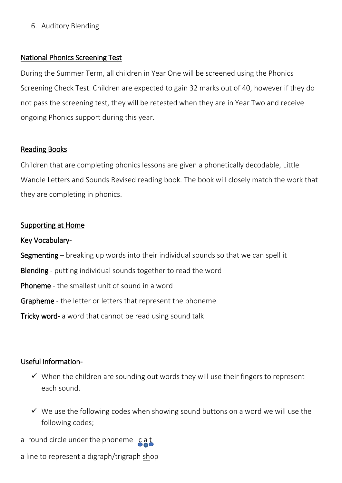6. Auditory Blending

### National Phonics Screening Test

During the Summer Term, all children in Year One will be screened using the Phonics Screening Check Test. Children are expected to gain 32 marks out of 40, however if they do not pass the screening test, they will be retested when they are in Year Two and receive ongoing Phonics support during this year.

## Reading Books

Children that are completing phonics lessons are given a phonetically decodable, Little Wandle Letters and Sounds Revised reading book. The book will closely match the work that they are completing in phonics.

#### Supporting at Home

Key Vocabulary-Segmenting – breaking up words into their individual sounds so that we can spell it Blending - putting individual sounds together to read the word Phoneme - the smallest unit of sound in a word Grapheme - the letter or letters that represent the phoneme Tricky word- a word that cannot be read using sound talk

## Useful information-

- $\checkmark$  When the children are sounding out words they will use their fingers to represent each sound.
- $\checkmark$  We use the following codes when showing sound buttons on a word we will use the following codes;
- a round circle under the phoneme cat

a line to represent a digraph/trigraph shop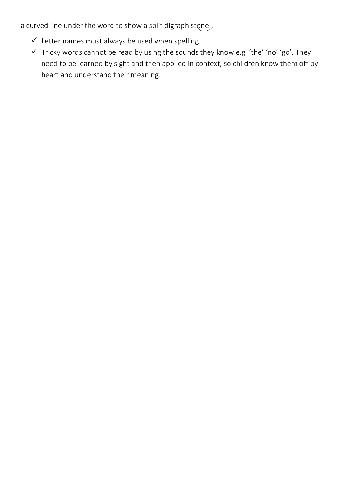a curved line under the word to show a split digraph stone

- $\checkmark$  Letter names must always be used when spelling.
- $\checkmark$  Tricky words cannot be read by using the sounds they know e.g 'the' 'no' 'go'. They need to be learned by sight and then applied in context, so children know them off by heart and understand their meaning.